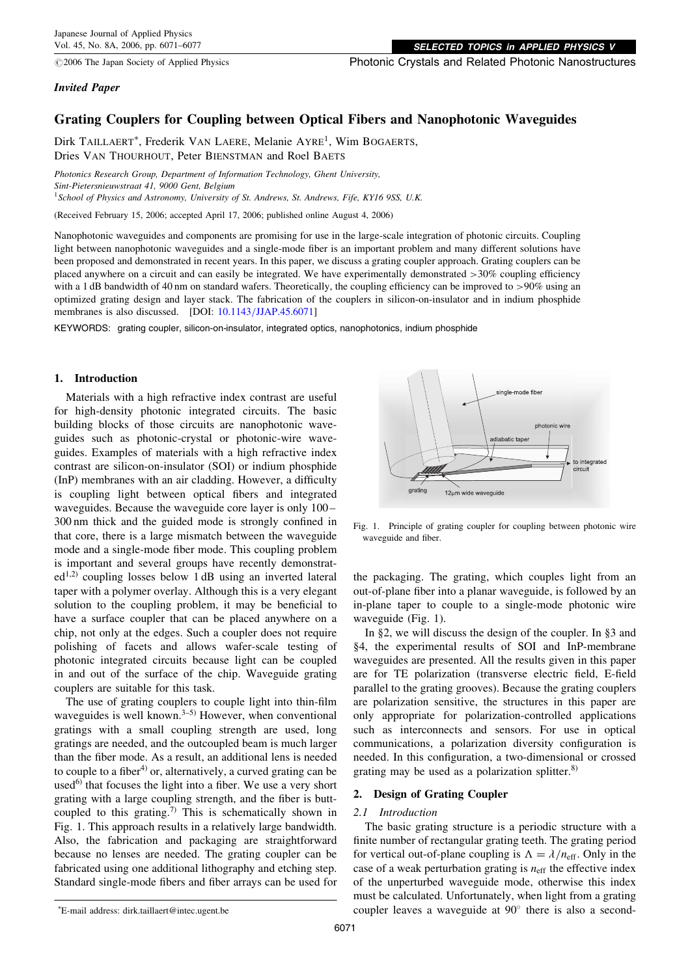$@2006$  The Japan Society of Applied Physics

SELECTED TOPICS in APPLIED PHYSICS

Photonic Crystals and Related Photonic Nanostructures

# Invited Paper

# Grating Couplers for Coupling between Optical Fibers and Nanophotonic Waveguides

Dirk TAILLAERT<sup>\*</sup>, Frederik VAN LAERE, Melanie AYRE<sup>1</sup>, Wim BOGAERTS, Dries VAN THOURHOUT, Peter BIENSTMAN and Roel BAETS

Photonics Research Group, Department of Information Technology, Ghent University, Sint-Pietersnieuwstraat 41, 9000 Gent, Belgium <sup>1</sup>School of Physics and Astronomy, University of St. Andrews, St. Andrews, Fife, KY16 9SS, U.K.

(Received February 15, 2006; accepted April 17, 2006; published online August 4, 2006)

Nanophotonic waveguides and components are promising for use in the large-scale integration of photonic circuits. Coupling light between nanophotonic waveguides and a single-mode fiber is an important problem and many different solutions have been proposed and demonstrated in recent years. In this paper, we discuss a grating coupler approach. Grating couplers can be placed anywhere on a circuit and can easily be integrated. We have experimentally demonstrated >30% coupling efficiency with a 1 dB bandwidth of 40 nm on standard wafers. Theoretically, the coupling efficiency can be improved to >90% using an optimized grating design and layer stack. The fabrication of the couplers in silicon-on-insulator and in indium phosphide membranes is also discussed. [DOI: [10.1143/JJAP.45.6071\]](http://dx.doi.org/10.1143/JJAP.45.6071)

KEYWORDS: grating coupler, silicon-on-insulator, integrated optics, nanophotonics, indium phosphide

### 1. Introduction

Materials with a high refractive index contrast are useful for high-density photonic integrated circuits. The basic building blocks of those circuits are nanophotonic waveguides such as photonic-crystal or photonic-wire waveguides. Examples of materials with a high refractive index contrast are silicon-on-insulator (SOI) or indium phosphide (InP) membranes with an air cladding. However, a difficulty is coupling light between optical fibers and integrated waveguides. Because the waveguide core layer is only 100 – 300 nm thick and the guided mode is strongly confined in that core, there is a large mismatch between the waveguide mode and a single-mode fiber mode. This coupling problem is important and several groups have recently demonstrat $ed<sup>1,2)</sup>$  coupling losses below 1 dB using an inverted lateral taper with a polymer overlay. Although this is a very elegant solution to the coupling problem, it may be beneficial to have a surface coupler that can be placed anywhere on a chip, not only at the edges. Such a coupler does not require polishing of facets and allows wafer-scale testing of photonic integrated circuits because light can be coupled in and out of the surface of the chip. Waveguide grating couplers are suitable for this task.

The use of grating couplers to couple light into thin-film waveguides is well known.<sup>3-5)</sup> However, when conventional gratings with a small coupling strength are used, long gratings are needed, and the outcoupled beam is much larger than the fiber mode. As a result, an additional lens is needed to couple to a fiber<sup>4)</sup> or, alternatively, a curved grating can be used $^{6}$ ) that focuses the light into a fiber. We use a very short grating with a large coupling strength, and the fiber is buttcoupled to this grating.<sup>7)</sup> This is schematically shown in Fig. 1. This approach results in a relatively large bandwidth. Also, the fabrication and packaging are straightforward because no lenses are needed. The grating coupler can be fabricated using one additional lithography and etching step. Standard single-mode fibers and fiber arrays can be used for



Fig. 1. Principle of grating coupler for coupling between photonic wire waveguide and fiber.

the packaging. The grating, which couples light from an out-of-plane fiber into a planar waveguide, is followed by an in-plane taper to couple to a single-mode photonic wire waveguide (Fig. 1).

In §2, we will discuss the design of the coupler. In §3 and §4, the experimental results of SOI and InP-membrane waveguides are presented. All the results given in this paper are for TE polarization (transverse electric field, E-field parallel to the grating grooves). Because the grating couplers are polarization sensitive, the structures in this paper are only appropriate for polarization-controlled applications such as interconnects and sensors. For use in optical communications, a polarization diversity configuration is needed. In this configuration, a two-dimensional or crossed grating may be used as a polarization splitter. $8$ )

# 2. Design of Grating Coupler

# 2.1 Introduction

The basic grating structure is a periodic structure with a finite number of rectangular grating teeth. The grating period for vertical out-of-plane coupling is  $\Lambda = \lambda / n_{\text{eff}}$ . Only in the case of a weak perturbation grating is  $n<sub>eff</sub>$  the effective index of the unperturbed waveguide mode, otherwise this index must be calculated. Unfortunately, when light from a grating coupler leaves a waveguide at  $90^\circ$  there is also a second-

E-mail address: dirk.taillaert@intec.ugent.be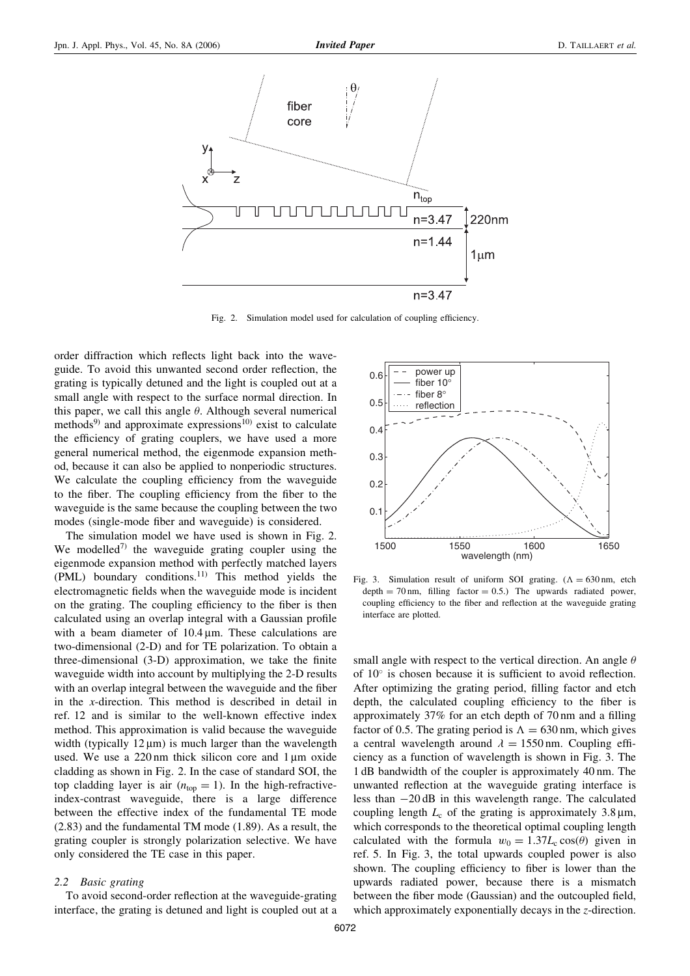

Fig. 2. Simulation model used for calculation of coupling efficiency.

order diffraction which reflects light back into the waveguide. To avoid this unwanted second order reflection, the grating is typically detuned and the light is coupled out at a small angle with respect to the surface normal direction. In this paper, we call this angle  $\theta$ . Although several numerical methods<sup>9)</sup> and approximate expressions<sup>10)</sup> exist to calculate the efficiency of grating couplers, we have used a more general numerical method, the eigenmode expansion method, because it can also be applied to nonperiodic structures. We calculate the coupling efficiency from the waveguide to the fiber. The coupling efficiency from the fiber to the waveguide is the same because the coupling between the two modes (single-mode fiber and waveguide) is considered.

The simulation model we have used is shown in Fig. 2. We modelled<sup>7)</sup> the waveguide grating coupler using the eigenmode expansion method with perfectly matched layers (PML) boundary conditions.<sup>11)</sup> This method yields the electromagnetic fields when the waveguide mode is incident on the grating. The coupling efficiency to the fiber is then calculated using an overlap integral with a Gaussian profile with a beam diameter of  $10.4 \mu m$ . These calculations are two-dimensional (2-D) and for TE polarization. To obtain a three-dimensional (3-D) approximation, we take the finite waveguide width into account by multiplying the 2-D results with an overlap integral between the waveguide and the fiber in the x-direction. This method is described in detail in ref. 12 and is similar to the well-known effective index method. This approximation is valid because the waveguide width (typically  $12 \mu m$ ) is much larger than the wavelength used. We use a  $220 \text{ nm}$  thick silicon core and  $1 \mu \text{m}$  oxide cladding as shown in Fig. 2. In the case of standard SOI, the top cladding layer is air  $(n_{top} = 1)$ . In the high-refractiveindex-contrast waveguide, there is a large difference between the effective index of the fundamental TE mode (2.83) and the fundamental TM mode (1.89). As a result, the grating coupler is strongly polarization selective. We have only considered the TE case in this paper.

### 2.2 Basic grating

To avoid second-order reflection at the waveguide-grating interface, the grating is detuned and light is coupled out at a



Fig. 3. Simulation result of uniform SOI grating.  $(\Lambda = 630 \text{ nm}, \text{etch})$ depth  $= 70$  nm, filling factor  $= 0.5$ .) The upwards radiated power, coupling efficiency to the fiber and reflection at the waveguide grating interface are plotted.

small angle with respect to the vertical direction. An angle  $\theta$ of 10° is chosen because it is sufficient to avoid reflection. After optimizing the grating period, filling factor and etch depth, the calculated coupling efficiency to the fiber is approximately 37% for an etch depth of 70 nm and a filling factor of 0.5. The grating period is  $\Lambda = 630$  nm, which gives a central wavelength around  $\lambda = 1550$  nm. Coupling efficiency as a function of wavelength is shown in Fig. 3. The 1 dB bandwidth of the coupler is approximately 40 nm. The unwanted reflection at the waveguide grating interface is less than  $-20$  dB in this wavelength range. The calculated coupling length  $L_c$  of the grating is approximately 3.8  $\mu$ m, which corresponds to the theoretical optimal coupling length calculated with the formula  $w_0 = 1.37L_c \cos(\theta)$  given in ref. 5. In Fig. 3, the total upwards coupled power is also shown. The coupling efficiency to fiber is lower than the upwards radiated power, because there is a mismatch between the fiber mode (Gaussian) and the outcoupled field, which approximately exponentially decays in the z-direction.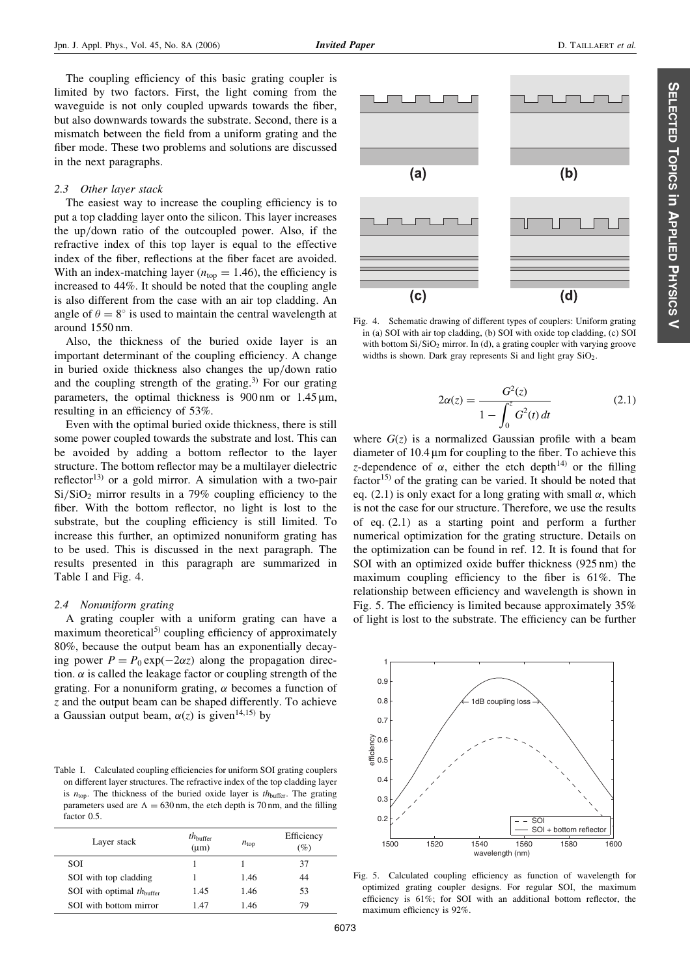The coupling efficiency of this basic grating coupler is limited by two factors. First, the light coming from the waveguide is not only coupled upwards towards the fiber, but also downwards towards the substrate. Second, there is a mismatch between the field from a uniform grating and the fiber mode. These two problems and solutions are discussed in the next paragraphs.

### 2.3 Other layer stack

The easiest way to increase the coupling efficiency is to put a top cladding layer onto the silicon. This layer increases the up/down ratio of the outcoupled power. Also, if the refractive index of this top layer is equal to the effective index of the fiber, reflections at the fiber facet are avoided. With an index-matching layer ( $n_{\text{top}} = 1.46$ ), the efficiency is increased to 44%. It should be noted that the coupling angle is also different from the case with an air top cladding. An angle of  $\theta = 8^{\circ}$  is used to maintain the central wavelength at around 1550 nm.

Also, the thickness of the buried oxide layer is an important determinant of the coupling efficiency. A change in buried oxide thickness also changes the up/down ratio and the coupling strength of the grating.<sup>3)</sup> For our grating parameters, the optimal thickness is  $900 \text{ nm}$  or  $1.45 \text{ µm}$ , resulting in an efficiency of 53%.

Even with the optimal buried oxide thickness, there is still some power coupled towards the substrate and lost. This can be avoided by adding a bottom reflector to the layer structure. The bottom reflector may be a multilayer dielectric reflector<sup>13)</sup> or a gold mirror. A simulation with a two-pair  $Si/SiO<sub>2</sub>$  mirror results in a 79% coupling efficiency to the fiber. With the bottom reflector, no light is lost to the substrate, but the coupling efficiency is still limited. To increase this further, an optimized nonuniform grating has to be used. This is discussed in the next paragraph. The results presented in this paragraph are summarized in Table I and Fig. 4.

#### 2.4 Nonuniform grating

A grating coupler with a uniform grating can have a maximum theoretical $(5)$  coupling efficiency of approximately 80%, because the output beam has an exponentially decaying power  $P = P_0 \exp(-2\alpha z)$  along the propagation direction.  $\alpha$  is called the leakage factor or coupling strength of the grating. For a nonuniform grating,  $\alpha$  becomes a function of z and the output beam can be shaped differently. To achieve a Gaussian output beam,  $\alpha(z)$  is given<sup>14,15)</sup> by

Table I. Calculated coupling efficiencies for uniform SOI grating couplers on different layer structures. The refractive index of the top cladding layer is  $n_{\text{top}}$ . The thickness of the buried oxide layer is  $th_{\text{buffer}}$ . The grating parameters used are  $\Lambda = 630$  nm, the etch depth is 70 nm, and the filling factor 0.5.

| Layer stack                           | $th_{\text{buffer}}$<br>$(\mu m)$ | $n_{\rm top}$ | Efficiency<br>(%) |
|---------------------------------------|-----------------------------------|---------------|-------------------|
| <b>SOI</b>                            |                                   |               | 37                |
| SOI with top cladding                 |                                   | 1.46          | 44                |
| SOI with optimal $th_{\text{buffer}}$ | 1.45                              | 1.46          | 53                |
| SOI with bottom mirror                | 1.47                              | 1.46          | 79                |

 $(a)$  $(b)$ 

Fig. 4. Schematic drawing of different types of couplers: Uniform grating in (a) SOI with air top cladding, (b) SOI with oxide top cladding, (c) SOI with bottom  $Si/SiO<sub>2</sub>$  mirror. In (d), a grating coupler with varying groove widths is shown. Dark gray represents Si and light gray SiO<sub>2</sub>.

(c)

$$
2\alpha(z) = \frac{G^2(z)}{1 - \int_0^z G^2(t) dt}
$$
 (2.1)

 $(d)$ 

where  $G(z)$  is a normalized Gaussian profile with a beam diameter of 10.4 um for coupling to the fiber. To achieve this z-dependence of  $\alpha$ , either the etch depth<sup>14)</sup> or the filling factor<sup>15)</sup> of the grating can be varied. It should be noted that eq. (2.1) is only exact for a long grating with small  $\alpha$ , which is not the case for our structure. Therefore, we use the results of eq. (2.1) as a starting point and perform a further numerical optimization for the grating structure. Details on the optimization can be found in ref. 12. It is found that for SOI with an optimized oxide buffer thickness (925 nm) the maximum coupling efficiency to the fiber is 61%. The relationship between efficiency and wavelength is shown in Fig. 5. The efficiency is limited because approximately 35% of light is lost to the substrate. The efficiency can be further

Fig. 5. Calculated coupling efficiency as function of wavelength for optimized grating coupler designs. For regular SOI, the maximum efficiency is 61%; for SOI with an additional bottom reflector, the maximum efficiency is 92%.

wavelength (nm)

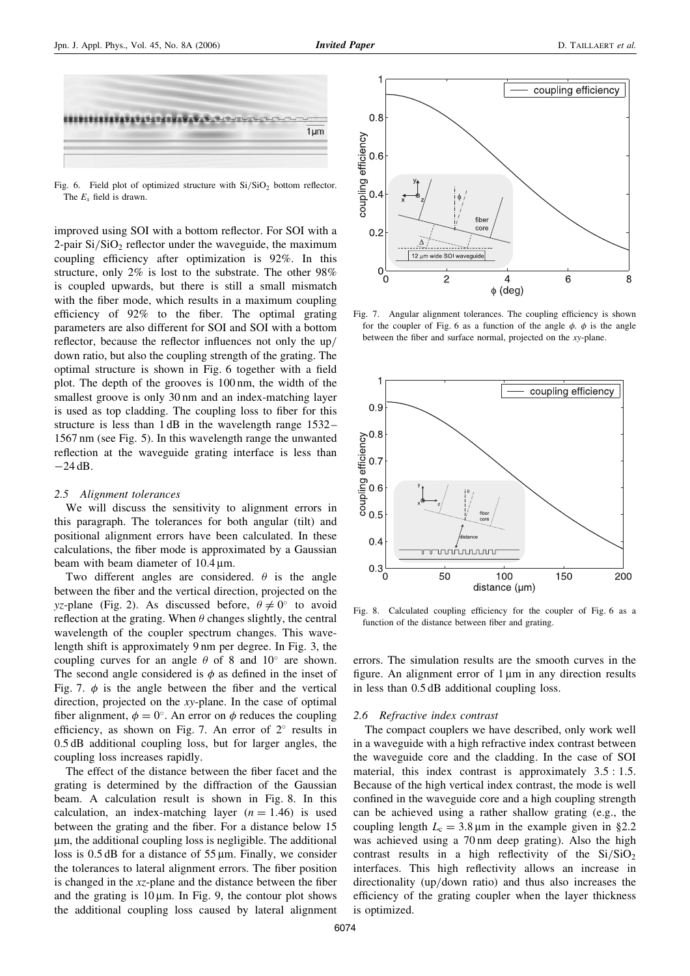

Fig. 6. Field plot of optimized structure with  $Si/SiO<sub>2</sub>$  bottom reflector. The  $E_r$  field is drawn.

improved using SOI with a bottom reflector. For SOI with a 2-pair  $Si/SiO<sub>2</sub>$  reflector under the waveguide, the maximum coupling efficiency after optimization is 92%. In this structure, only 2% is lost to the substrate. The other 98% is coupled upwards, but there is still a small mismatch with the fiber mode, which results in a maximum coupling efficiency of 92% to the fiber. The optimal grating parameters are also different for SOI and SOI with a bottom reflector, because the reflector influences not only the up/ down ratio, but also the coupling strength of the grating. The optimal structure is shown in Fig. 6 together with a field plot. The depth of the grooves is 100 nm, the width of the smallest groove is only 30 nm and an index-matching layer is used as top cladding. The coupling loss to fiber for this structure is less than 1 dB in the wavelength range 1532 – 1567 nm (see Fig. 5). In this wavelength range the unwanted reflection at the waveguide grating interface is less than  $-24$  dB.

#### 2.5 Alignment tolerances

We will discuss the sensitivity to alignment errors in this paragraph. The tolerances for both angular (tilt) and positional alignment errors have been calculated. In these calculations, the fiber mode is approximated by a Gaussian beam with beam diameter of  $10.4 \,\text{\ensuremath{\upmu}m}.$ 

Two different angles are considered.  $\theta$  is the angle between the fiber and the vertical direction, projected on the yz-plane (Fig. 2). As discussed before,  $\theta \neq 0^{\circ}$  to avoid reflection at the grating. When  $\theta$  changes slightly, the central wavelength of the coupler spectrum changes. This wavelength shift is approximately 9 nm per degree. In Fig. 3, the coupling curves for an angle  $\theta$  of 8 and 10° are shown. The second angle considered is  $\phi$  as defined in the inset of Fig. 7.  $\phi$  is the angle between the fiber and the vertical direction, projected on the xy-plane. In the case of optimal fiber alignment,  $\phi = 0^{\circ}$ . An error on  $\phi$  reduces the coupling efficiency, as shown on Fig. 7. An error of  $2^{\circ}$  results in 0.5 dB additional coupling loss, but for larger angles, the coupling loss increases rapidly.

The effect of the distance between the fiber facet and the grating is determined by the diffraction of the Gaussian beam. A calculation result is shown in Fig. 8. In this calculation, an index-matching layer  $(n = 1.46)$  is used between the grating and the fiber. For a distance below 15 mm, the additional coupling loss is negligible. The additional loss is  $0.5$  dB for a distance of  $55 \mu m$ . Finally, we consider the tolerances to lateral alignment errors. The fiber position is changed in the xz-plane and the distance between the fiber and the grating is  $10 \mu m$ . In Fig. 9, the contour plot shows the additional coupling loss caused by lateral alignment



Fig. 7. Angular alignment tolerances. The coupling efficiency is shown for the coupler of Fig. 6 as a function of the angle  $\phi$ .  $\phi$  is the angle between the fiber and surface normal, projected on the xy-plane.



Fig. 8. Calculated coupling efficiency for the coupler of Fig. 6 as a function of the distance between fiber and grating.

errors. The simulation results are the smooth curves in the figure. An alignment error of  $1 \mu m$  in any direction results in less than 0.5 dB additional coupling loss.

### 2.6 Refractive index contrast

The compact couplers we have described, only work well in a waveguide with a high refractive index contrast between the waveguide core and the cladding. In the case of SOI material, this index contrast is approximately  $3.5:1.5$ . Because of the high vertical index contrast, the mode is well confined in the waveguide core and a high coupling strength can be achieved using a rather shallow grating (e.g., the coupling length  $L_c = 3.8 \,\text{\mu m}$  in the example given in §2.2 was achieved using a 70 nm deep grating). Also the high contrast results in a high reflectivity of the  $Si/SiO<sub>2</sub>$ interfaces. This high reflectivity allows an increase in directionality (up/down ratio) and thus also increases the efficiency of the grating coupler when the layer thickness is optimized.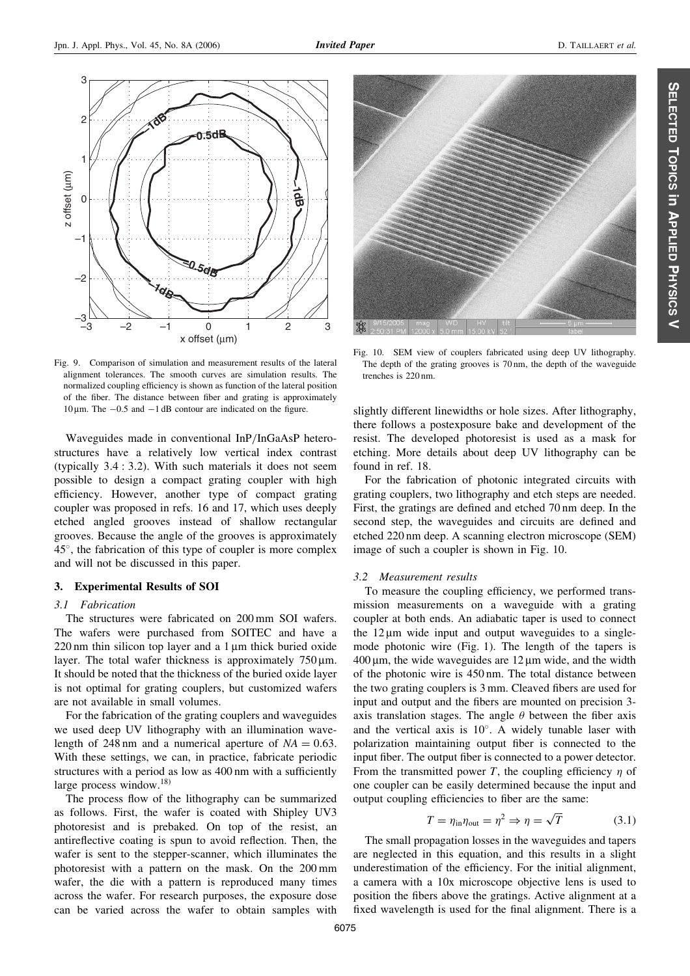

Fig. 9. Comparison of simulation and measurement results of the lateral alignment tolerances. The smooth curves are simulation results. The normalized coupling efficiency is shown as function of the lateral position of the fiber. The distance between fiber and grating is approximately  $10 \,\mu$ m. The  $-0.5$  and  $-1$  dB contour are indicated on the figure.

Waveguides made in conventional InP/InGaAsP heterostructures have a relatively low vertical index contrast (typically  $3.4:3.2$ ). With such materials it does not seem possible to design a compact grating coupler with high efficiency. However, another type of compact grating coupler was proposed in refs. 16 and 17, which uses deeply etched angled grooves instead of shallow rectangular grooves. Because the angle of the grooves is approximately 45°, the fabrication of this type of coupler is more complex and will not be discussed in this paper.

# 3. Experimental Results of SOI

## 3.1 Fabrication

The structures were fabricated on 200 mm SOI wafers. The wafers were purchased from SOITEC and have a  $220 \text{ nm}$  thin silicon top layer and a 1  $\mu$ m thick buried oxide layer. The total wafer thickness is approximately  $750 \mu m$ . It should be noted that the thickness of the buried oxide layer is not optimal for grating couplers, but customized wafers are not available in small volumes.

For the fabrication of the grating couplers and waveguides we used deep UV lithography with an illumination wavelength of 248 nm and a numerical aperture of  $NA = 0.63$ . With these settings, we can, in practice, fabricate periodic structures with a period as low as 400 nm with a sufficiently large process window.<sup>18)</sup>

The process flow of the lithography can be summarized as follows. First, the wafer is coated with Shipley UV3 photoresist and is prebaked. On top of the resist, an antireflective coating is spun to avoid reflection. Then, the wafer is sent to the stepper-scanner, which illuminates the photoresist with a pattern on the mask. On the 200 mm wafer, the die with a pattern is reproduced many times across the wafer. For research purposes, the exposure dose can be varied across the wafer to obtain samples with



Fig. 10. SEM view of couplers fabricated using deep UV lithography. The depth of the grating grooves is 70 nm, the depth of the waveguide trenches is 220 nm.

slightly different linewidths or hole sizes. After lithography, there follows a postexposure bake and development of the resist. The developed photoresist is used as a mask for etching. More details about deep UV lithography can be found in ref. 18.

For the fabrication of photonic integrated circuits with grating couplers, two lithography and etch steps are needed. First, the gratings are defined and etched 70 nm deep. In the second step, the waveguides and circuits are defined and etched 220 nm deep. A scanning electron microscope (SEM) image of such a coupler is shown in Fig. 10.

# 3.2 Measurement results

To measure the coupling efficiency, we performed transmission measurements on a waveguide with a grating coupler at both ends. An adiabatic taper is used to connect the  $12 \mu m$  wide input and output waveguides to a singlemode photonic wire (Fig. 1). The length of the tapers is  $400 \,\mu$ m, the wide waveguides are  $12 \,\mu$ m wide, and the width of the photonic wire is 450 nm. The total distance between the two grating couplers is 3 mm. Cleaved fibers are used for input and output and the fibers are mounted on precision 3 axis translation stages. The angle  $\theta$  between the fiber axis and the vertical axis is  $10^{\circ}$ . A widely tunable laser with polarization maintaining output fiber is connected to the input fiber. The output fiber is connected to a power detector. From the transmitted power T, the coupling efficiency  $\eta$  of one coupler can be easily determined because the input and output coupling efficiencies to fiber are the same:

$$
T = \eta_{\text{in}} \eta_{\text{out}} = \eta^2 \Rightarrow \eta = \sqrt{T} \tag{3.1}
$$

The small propagation losses in the waveguides and tapers are neglected in this equation, and this results in a slight underestimation of the efficiency. For the initial alignment, a camera with a 10x microscope objective lens is used to position the fibers above the gratings. Active alignment at a fixed wavelength is used for the final alignment. There is a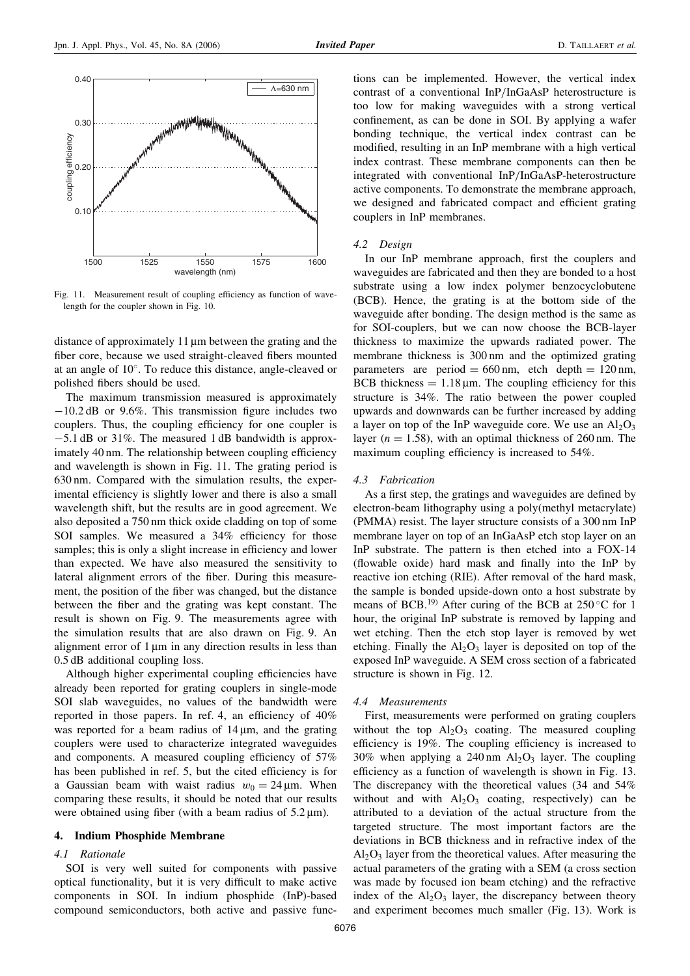

Fig. 11. Measurement result of coupling efficiency as function of wavelength for the coupler shown in Fig. 10.

distance of approximately 11 um between the grating and the fiber core, because we used straight-cleaved fibers mounted at an angle of 10°. To reduce this distance, angle-cleaved or polished fibers should be used.

The maximum transmission measured is approximately  $-10.2$  dB or 9.6%. This transmission figure includes two couplers. Thus, the coupling efficiency for one coupler is  $-5.1$  dB or 31%. The measured 1 dB bandwidth is approximately 40 nm. The relationship between coupling efficiency and wavelength is shown in Fig. 11. The grating period is 630 nm. Compared with the simulation results, the experimental efficiency is slightly lower and there is also a small wavelength shift, but the results are in good agreement. We also deposited a 750 nm thick oxide cladding on top of some SOI samples. We measured a 34% efficiency for those samples; this is only a slight increase in efficiency and lower than expected. We have also measured the sensitivity to lateral alignment errors of the fiber. During this measurement, the position of the fiber was changed, but the distance between the fiber and the grating was kept constant. The result is shown on Fig. 9. The measurements agree with the simulation results that are also drawn on Fig. 9. An alignment error of  $1 \mu m$  in any direction results in less than 0.5 dB additional coupling loss.

Although higher experimental coupling efficiencies have already been reported for grating couplers in single-mode SOI slab waveguides, no values of the bandwidth were reported in those papers. In ref. 4, an efficiency of 40% was reported for a beam radius of  $14 \mu m$ , and the grating couplers were used to characterize integrated waveguides and components. A measured coupling efficiency of 57% has been published in ref. 5, but the cited efficiency is for a Gaussian beam with waist radius  $w_0 = 24 \,\mu \text{m}$ . When comparing these results, it should be noted that our results were obtained using fiber (with a beam radius of  $5.2 \,\mu$ m).

## 4. Indium Phosphide Membrane

#### 4.1 Rationale

SOI is very well suited for components with passive optical functionality, but it is very difficult to make active components in SOI. In indium phosphide (InP)-based compound semiconductors, both active and passive func-

tions can be implemented. However, the vertical index contrast of a conventional InP/InGaAsP heterostructure is too low for making waveguides with a strong vertical confinement, as can be done in SOI. By applying a wafer bonding technique, the vertical index contrast can be modified, resulting in an InP membrane with a high vertical index contrast. These membrane components can then be integrated with conventional InP/InGaAsP-heterostructure active components. To demonstrate the membrane approach, we designed and fabricated compact and efficient grating couplers in InP membranes.

#### 4.2 Design

In our InP membrane approach, first the couplers and waveguides are fabricated and then they are bonded to a host substrate using a low index polymer benzocyclobutene (BCB). Hence, the grating is at the bottom side of the waveguide after bonding. The design method is the same as for SOI-couplers, but we can now choose the BCB-layer thickness to maximize the upwards radiated power. The membrane thickness is 300 nm and the optimized grating parameters are period =  $660 \text{ nm}$ , etch depth =  $120 \text{ nm}$ , BCB thickness  $= 1.18 \mu m$ . The coupling efficiency for this structure is 34%. The ratio between the power coupled upwards and downwards can be further increased by adding a layer on top of the InP waveguide core. We use an  $Al_2O_3$ layer ( $n = 1.58$ ), with an optimal thickness of 260 nm. The maximum coupling efficiency is increased to 54%.

#### 4.3 Fabrication

As a first step, the gratings and waveguides are defined by electron-beam lithography using a poly(methyl metacrylate) (PMMA) resist. The layer structure consists of a 300 nm InP membrane layer on top of an InGaAsP etch stop layer on an InP substrate. The pattern is then etched into a FOX-14 (flowable oxide) hard mask and finally into the InP by reactive ion etching (RIE). After removal of the hard mask, the sample is bonded upside-down onto a host substrate by means of BCB.<sup>19)</sup> After curing of the BCB at  $250^{\circ}$ C for 1 hour, the original InP substrate is removed by lapping and wet etching. Then the etch stop layer is removed by wet etching. Finally the  $Al_2O_3$  layer is deposited on top of the exposed InP waveguide. A SEM cross section of a fabricated structure is shown in Fig. 12.

#### 4.4 Measurements

First, measurements were performed on grating couplers without the top  $Al_2O_3$  coating. The measured coupling efficiency is 19%. The coupling efficiency is increased to 30% when applying a 240 nm  $Al_2O_3$  layer. The coupling efficiency as a function of wavelength is shown in Fig. 13. The discrepancy with the theoretical values (34 and 54% without and with  $Al_2O_3$  coating, respectively) can be attributed to a deviation of the actual structure from the targeted structure. The most important factors are the deviations in BCB thickness and in refractive index of the  $Al<sub>2</sub>O<sub>3</sub>$  layer from the theoretical values. After measuring the actual parameters of the grating with a SEM (a cross section was made by focused ion beam etching) and the refractive index of the  $Al_2O_3$  layer, the discrepancy between theory and experiment becomes much smaller (Fig. 13). Work is